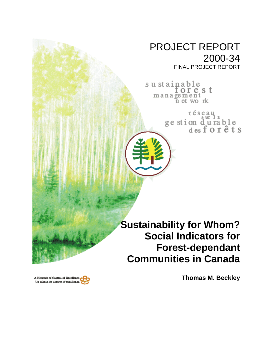# PROJECT REPORT 2000-34

FINAL PROJECT REPORT

sustainable<br>for e s t management<br>net work

réseau<br>ge stion d'u rable<br>des forêts

**Sustainability for Whom? Social Indicators for Forest-dependant Communities in Canada**

A Network of Centres of Bacellene Un réseau de centres d'excellence **Thomas M. Beckley**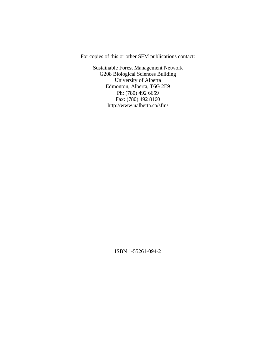For copies of this or other SFM publications contact:

Sustainable Forest Management Network G208 Biological Sciences Building University of Alberta Edmonton, Alberta, T6G 2E9 Ph: (780) 492 6659 Fax: (780) 492 8160 http://www.ualberta.ca/sfm/

ISBN 1-55261-094-2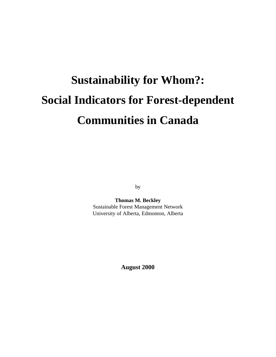# **Sustainability for Whom?: Social Indicators for Forest-dependent Communities in Canada**

by

**Thomas M. Beckley** Sustainable Forest Management Network University of Alberta, Edmonton, Alberta

**August 2000**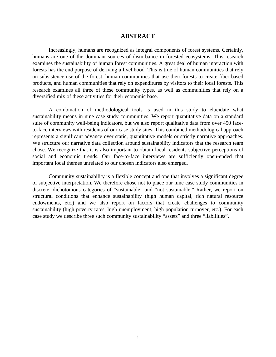#### **ABSTRACT**

Increasingly, humans are recognized as integral components of forest systems. Certainly, humans are one of the dominant sources of disturbance in forested ecosystems. This research examines the sustainability of human forest communities. A great deal of human interaction with forests has the end purpose of deriving a livelihood. This is true of human communities that rely on subsistence use of the forest, human communities that use their forests to create fiber-based products, and human communities that rely on expenditures by visitors to their local forests. This research examines all three of these community types, as well as communities that rely on a diversified mix of these activities for their economic base.

A combination of methodological tools is used in this study to elucidate what sustainability means in nine case study communities. We report quantitative data on a standard suite of community well-being indicators, but we also report qualitative data from over 450 faceto-face interviews with residents of our case study sites. This combined methodological approach represents a significant advance over static, quantitative models or strictly narrative approaches. We structure our narrative data collection around sustainability indicators that the research team chose. We recognize that it is also important to obtain local residents subjective perceptions of social and economic trends. Our face-to-face interviews are sufficiently open-ended that important local themes unrelated to our chosen indicators also emerged.

Community sustainability is a flexible concept and one that involves a significant degree of subjective interpretation. We therefore chose not to place our nine case study communities in discrete, dichotomous categories of "sustainable" and "not sustainable." Rather, we report on structural conditions that enhance sustainability (high human capital, rich natural resource endowments, etc.) and we also report on factors that create challenges to community sustainability (high poverty rates, high unemployment, high population turnover, etc.). For each case study we describe three such community sustainability "assets" and three "liabilities".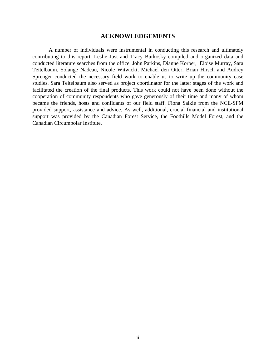## **ACKNOWLEDGEMENTS**

A number of individuals were instrumental in conducting this research and ultimately contributing to this report. Leslie Just and Tracy Burkosky compiled and organized data and conducted literature searches from the office. John Parkins, Dianne Korber, Eloise Murray, Sara Teitelbaum, Solange Nadeau, Nicole Witwicki, Michael den Otter, Brian Hirsch and Audrey Sprenger conducted the necessary field work to enable us to write up the community case studies. Sara Teitelbaum also served as project coordinator for the latter stages of the work and facilitated the creation of the final products. This work could not have been done without the cooperation of community respondents who gave generously of their time and many of whom became the friends, hosts and confidants of our field staff. Fiona Salkie from the NCE-SFM provided support, assistance and advice. As well, additional, crucial financial and institutional support was provided by the Canadian Forest Service, the Foothills Model Forest, and the Canadian Circumpolar Institute.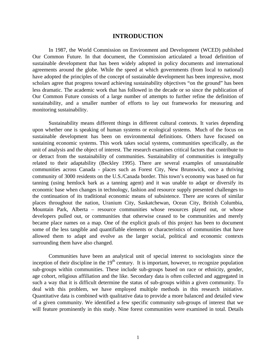#### **INTRODUCTION**

In 1987, the World Commission on Environment and Development (WCED) published Our Common Future*.* In that document, the Commission articulated a broad definition of sustainable development that has been widely adopted in policy documents and international agreements around the globe. While the speed at which governments (from local to national) have adopted the principles of the concept of sustainable development has been impressive, most scholars agree that progress toward achieving sustainability objectives "on the ground" has been less dramatic. The academic work that has followed in the decade or so since the publication of Our Common Future consists of a large number of attempts to further refine the definition of sustainability, and a smaller number of efforts to lay out frameworks for measuring and monitoring sustainability.

Sustainability means different things in different cultural contexts. It varies depending upon whether one is speaking of human systems or ecological systems. Much of the focus on sustainable development has been on environmental definitions. Others have focused on sustaining economic systems. This work takes social systems, communities specifically, as the unit of analysis and the object of interest. The research examines critical factors that contribute to or detract from the sustainability of communities. Sustainability of communities is integrally related to their adaptability (Beckley 1995). There are several examples of unsustainable communities across Canada - places such as Forest City, New Brunswick, once a thriving community of 3000 residents on the U.S./Canada border. This town's economy was based on fur tanning (using hemlock bark as a tanning agent) and it was unable to adapt or diversify its economic base when changes in technology, fashion and resource supply presented challenges to the continuation of its traditional economic means of subsistence. There are scores of similar places throughout the nation, Uranium City, Saskatchewan, Ocean City, British Columbia, Mountain Park, Alberta – resource communities whose resources played out, or whose developers pulled out, or communities that otherwise ceased to be communities and merely became place names on a map. One of the explicit goals of this project has been to document some of the less tangible and quantifiable elements or characteristics of communities that have allowed them to adapt and evolve as the larger social, political and economic contexts surrounding them have also changed.

Communities have been an analytical unit of special interest to sociologists since the inception of their discipline in the  $19<sup>th</sup>$  century. It is important, however, to recognize population sub-groups within communities. These include sub-groups based on race or ethnicity, gender, age cohort, religious affiliation and the like. Secondary data is often collected and aggregated in such a way that it is difficult determine the status of sub-groups within a given community. To deal with this problem, we have employed multiple methods in this research initiative. Quantitative data is combined with qualitative data to provide a more balanced and detailed view of a given community. We identified a few specific community sub-groups of interest that we will feature prominently in this study. Nine forest communities were examined in total. Details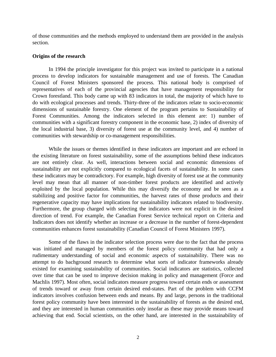of those communities and the methods employed to understand them are provided in the analysis section.

#### **Origins of the research**

In 1994 the principle investigator for this project was invited to participate in a national process to develop indicators for sustainable management and use of forests. The Canadian Council of Forest Ministers sponsored the process. This national body is comprised of representatives of each of the provincial agencies that have management responsibility for Crown forestland. This body came up with 83 indicators in total, the majority of which have to do with ecological processes and trends. Thirty-three of the indicators relate to socio-economic dimensions of sustainable forestry. One element of the program pertains to Sustainability of Forest Communities. Among the indicators selected in this element are: 1) number of communities with a significant forestry component in the economic base, 2) index of diversity of the local industrial base, 3) diversity of forest use at the community level, and 4) number of communities with stewardship or co-management responsibilities.

While the issues or themes identified in these indicators are important and are echoed in the existing literature on forest sustainability, some of the assumptions behind these indicators are not entirely clear. As well, interactions between social and economic dimensions of sustainability are not explicitly compared to ecological facets of sustainability. In some cases these indicators may be contradictory. For example, high diversity of forest use at the community level may mean that all manner of non-timber forest products are identified and actively exploited by the local population. While this may diversify the economy and be seen as a stabilizing and positive factor for communities, the harvest rates of those products and their regenerative capacity may have implications for sustainability indicators related to biodiversity. Furthermore, the group charged with selecting the indicators were not explicit in the desired direction of trend. For example, the Canadian Forest Service technical report on Criteria and Indicators does not identify whether an increase or a decrease in the number of forest-dependent communities enhances forest sustainability (Canadian Council of Forest Ministers 1997).

Some of the flaws in the indicator selection process were due to the fact that the process was initiated and managed by members of the forest policy community that had only a rudimentary understanding of social and economic aspects of sustainability. There was no attempt to do bachground research to determine what sorts of indicator frameworks already existed for examining sustainability of communities. Social indicators are statistics, collected over time that can be used to improve decision making in policy and management (Force and Machlis 1997). Most often, social indicators measure progress toward certain ends or assessment of trends toward or away from certain desired end-states. Part of the problem with CCFM indicators involves confusion between ends and means. By and large, persons in the traditional forest policy community have been interested in the sustainability of forests as the desired end, and they are interested in human communities only insofar as these may provide means toward achieving that end. Social scientists, on the other hand, are interested in the sustainability of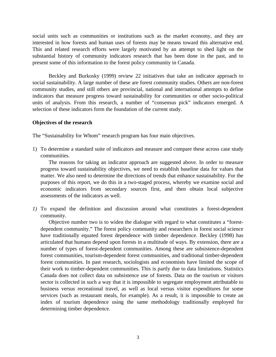social units such as communities or institutions such as the market economy, and they are interested in how forests and human uses of forests may be means toward this alternative end. This and related research efforts were largely motivated by an attempt to shed light on the substantial history of community indicators research that has been done in the past, and to present some of this information to the forest policy community in Canada.

Beckley and Burkosky (1999) review 22 initiatives that take an indicator approach to social sustainability. A large number of these are forest community studies. Others are non-forest community studies, and still others are provincial, national and international attempts to define indicators that measure progress toward sustainability for communities or other socio-political units of analysis. From this research, a number of "consensus pick" indicators emerged. A selection of these indicators form the foundation of the current study.

#### **Objectives of the research**

The "Sustainability for Whom" research program has four main objectives.

1) To determine a standard suite of indicators and measure and compare these across case study communities.

The reasons for taking an indicator approach are suggested above. In order to measure progress toward sustainability objectives, we need to establish baseline data for values that matter. We also need to determine the directions of trends that enhance sustainability. For the purposes of this report, we do this in a two-staged process, whereby we examine social and economic indicators from secondary sources first, and then obtain local subjective assessments of the indicators as well.

*1)* To expand the definition and discussion around what constitutes a forest-dependent community.

Objective number two is to widen the dialogue with regard to what constitutes a "forestdependent community." The forest policy community and researchers in forest social science have traditionally equated forest dependence with timber dependence. Beckley (1998) has articulated that humans depend upon forests in a multitude of ways. By extension, there are a number of types of forest-dependent communities. Among these are subsistence-dependent forest communities, tourism-dependent forest communities, and traditional timber-dependent forest communities. In past research, sociologists and economists have limited the scope of their work to timber-dependent communities. This is partly due to data limitations. Statistics Canada does not collect data on subsistence use of forests. Data on the tourism or visitors sector is collected in such a way that it is impossible to segregate employment attributable to business versus recreational travel, as well as local versus visitor expenditures for some services (such as restaurant meals, for example). As a result, it is impossible to create an index of tourism dependence using the same methodology traditionally employed for determining timber dependence.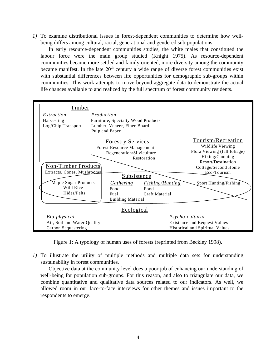*1)* To examine distributional issues in forest-dependent communities to determine how wellbeing differs among cultural, racial, generational and gendered sub-populations.

In early resource-dependent communities studies, the white males that constituted the labour force were the main group studied (Knight 1975). As resource-dependent communities became more settled and family oriented, more diversity among the community became manifest. In the late  $20<sup>th</sup>$  century a wide range of diverse forest communities exist with substantial differences between life opportunities for demographic sub-groups within communities. This work attempts to move beyond aggregate data to demonstrate the actual life chances available to and realized by the full spectrum of forest community residents.



Figure 1: A typology of human uses of forests (reprinted from Beckley 1998).

*1)* To illustrate the utility of multiple methods and multiple data sets for understanding sustainability in forest communities*.*

Objective data at the community level does a poor job of enhancing our understanding of well-being for population sub-groups. For this reason, and also to triangulate our data, we combine quantitative and qualitative data sources related to our indicators. As well, we allowed room in our face-to-face interviews for other themes and issues important to the respondents to emerge.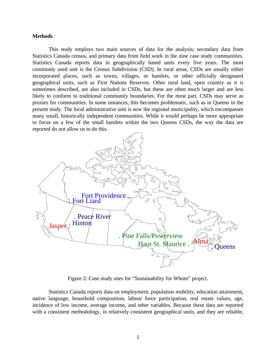#### **Methods**

This study employs two main sources of data for the analysis; secondary data from Statistics Canada census, and primary data from field work in the nine case study communities. Statistics Canada reports data in geographically based units every five years. The most commonly used unit is the Census Subdivision (CSD). In rural areas, CSDs are usually either incorporated places, such as towns, villages, or hamlets, or other officially designated geographical units, such as First Nations Reserves. Other rural land, open country as it is sometimes described, are also included in CSDs, but these are often much larger and are less likely to conform to traditional community boundaries. For the most part, CSDs may serve as proxies for communities. In some instances, this becomes problematic, such as in Queens in the present study. The local administrative unit is now the regional municipality, which encompasses many small, historically independent communities. While it would perhaps be more appropriate to focus on a few of the small hamlets within the two Queens CSDs, the way the data are reported do not allow us to do this.



Figure 2: Case study sites for "Sustainability for Whom" project.

Statistics Canada reports data on employment, population mobility, education attainment, native language, household composition, labour force participation, real estate values, age, incidence of low income, average income, and other variables. Because these data are reported with a consistent methodology, in relatively consistent geographical units, and they are reliable,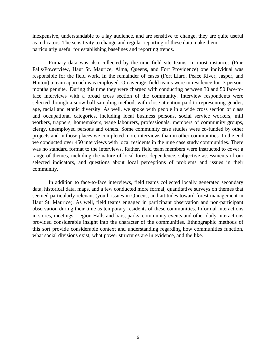inexpensive, understandable to a lay audience, and are sensitive to change, they are quite useful as indicators. The sensitivity to change and regular reporting of these data make them particularly useful for establishing baselines and reporting trends.

Primary data was also collected by the nine field site teams. In most instances (Pine Falls/Powerview, Haut St. Maurice, Alma, Queens, and Fort Providence) one individual was responsible for the field work. In the remainder of cases (Fort Liard, Peace River, Jasper, and Hinton) a team approach was employed. On average, field teams were in residence for 3 personmonths per site. During this time they were charged with conducting between 30 and 50 face-toface interviews with a broad cross section of the community. Interview respondents were selected through a snow-ball sampling method, with close attention paid to representing gender, age, racial and ethnic diversity. As well, we spoke with people in a wide cross section of class and occupational categories, including local business persons, social service workers, mill workers, trappers, homemakers, wage labourers, professionals, members of community groups, clergy, unemployed persons and others. Some community case studies were co-funded by other projects and in those places we completed more interviews than in other communities. In the end we conducted over 450 interviews with local residents in the nine case study communities. There was no standard format to the interviews. Rather, field team members were instructed to cover a range of themes, including the nature of local forest dependence, subjective assessments of our selected indicators, and questions about local perceptions of problems and issues in their community.

In addition to face-to-face interviews, field teams collected locally generated secondary data, historical data, maps, and a few conducted more formal, quantitative surveys on themes that seemed particularly relevant (youth issues in Queens, and attitudes toward forest management in Haut St. Maurice). As well, field teams engaged in participant observation and non-participant observation during their time as temporary residents of these communities. Informal interactions in stores, meetings, Legion Halls and bars, parks, community events and other daily interactions provided considerable insight into the character of the communities. Ethnographic methods of this sort provide considerable context and understanding regarding how communities function, what social divisions exist, what power structures are in evidence, and the like.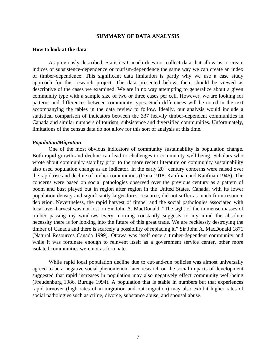#### **SUMMARY OF DATA ANALYSIS**

#### **How to look at the data**

As previously described, Statistics Canada does not collect data that allow us to create indices of subsistence-dependence or tourism-dependence the same way we can create an index of timber-dependence. This significant data limitation is partly why we use a case study approach for this research project. The data presented below, then, should be viewed as descriptive of the cases we examined. We are in no way attempting to generalize about a given community type with a sample size of two or three cases per cell. However, we are looking for patterns and differences between community types. Such differences will be noted in the text accompanying the tables in the data review to follow. Ideally, our analysis would include a statistical comparison of indicators between the 337 heavily timber-dependent communities in Canada and similar numbers of tourism, subsistence and diversified communities. Unfortunately, limitations of the census data do not allow for this sort of analysis at this time.

#### *Population/Migration*

One of the most obvious indicators of community sustainability is population change. Both rapid growth and decline can lead to challenges to community well-being. Scholars who wrote about community stability prior to the more recent literature on community sustainability also used population change as an indicator. In the early  $20<sup>th</sup>$  century concerns were raised over the rapid rise and decline of timber communities (Dana 1918, Kaufman and Kaufman 1946). The concerns were based on social pathologies observed over the previous century as a pattern of boom and bust played out in region after region in the United States. Canada, with its lower population density and significantly larger forest resource, did not suffer as much from resource depletion. Nevertheless, the rapid harvest of timber and the social pathologies associated with local over-harvest was not lost on Sir John A. MacDonald. "The sight of the immense masses of timber passing my windows every morning constantly suggests to my mind the absolute necessity there is for looking into the future of this great trade. We are recklessly destroying the timber of Canada and there is scarcely a possibility of replacing it," Sir John A. MacDonald 1871 (Natural Resources Canada 1999). Ottawa was itself once a timber-dependent community and while it was fortunate enough to reinvent itself as a government service center, other more isolated communities were not as fortunate.

While rapid local population decline due to cut-and-run policies was almost universally agreed to be a negative social phenomenon, later research on the social impacts of development suggested that rapid increases in population may also negatively effect community well-being (Freudenburg 1986, Burdge 1994). A population that is stable in numbers but that experiences rapid turnover (high rates of in-migration and out-migration) may also exhibit higher rates of social pathologies such as crime, divorce, substance abuse, and spousal abuse.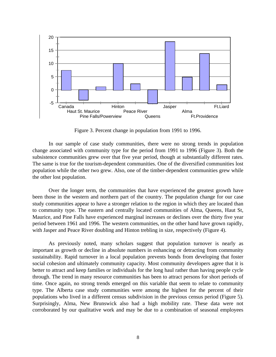

Figure 3. Percent change in population from 1991 to 1996.

In our sample of case study communities, there were no strong trends in population change associated with community type for the period from 1991 to 1996 (Figure 3). Both the subsistence communities grew over that five year period, though at substantially different rates. The same is true for the tourism-dependent communities. One of the diversified communities lost population while the other two grew. Also, one of the timber-dependent communities grew while the other lost population.

Over the longer term, the communities that have experienced the greatest growth have been those in the western and northern part of the country. The population change for our case study communities appear to have a stronger relation to the region in which they are located than to community type. The eastern and centrally located communities of Alma, Queens, Haut St, Maurice, and Pine Falls have experienced marginal increases or declines over the thirty five year period between 1961 and 1996. The western communities, on the other hand have grown rapidly, with Jasper and Peace River doubling and Hinton trebling in size, respectively (Figure 4).

As previously noted, many scholars suggest that population turnover is nearly as important as growth or decline in absolute numbers in enhancing or detracting from community sustainability. Rapid turnover in a local population prevents bonds from developing that foster social cohesion and ultimately community capacity. Most community developers agree that it is better to attract and keep families or individuals for the long haul rather than having people cycle through. The trend in many resource communities has been to attract persons for short periods of time. Once again, no strong trends emerged on this variable that seem to relate to community type. The Alberta case study communities were among the highest for the percent of their populations who lived in a different census subdivision in the previous census period (Figure 5). Surprisingly, Alma, New Brunswick also had a high mobility rate. These data were not corroborated by our qualitative work and may be due to a combination of seasonal employees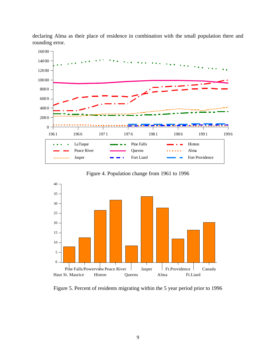

declaring Alma as their place of residence in combination with the small population there and rounding error.

Figure 4. Population change from 1961 to 1996



Figure 5. Percent of residents migrating within the 5 year period prior to 1996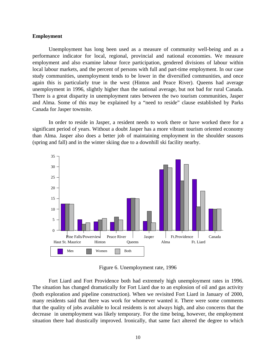#### **Employment**

Unemployment has long been used as a measure of community well-being and as a performance indicator for local, regional, provincial and national economies. We measure employment and also examine labour force participation, gendered divisions of labour within local labour markets, and the percent of persons with full and part-time employment. In our case study communities, unemployment tends to be lower in the diversified communities, and once again this is particularly true in the west (Hinton and Peace River). Queens had average unemployment in 1996, slightly higher than the national average, but not bad for rural Canada. There is a great disparity in unemployment rates between the two tourism communities, Jasper and Alma. Some of this may be explained by a "need to reside" clause established by Parks Canada for Jasper townsite.

In order to reside in Jasper, a resident needs to work there or have worked there for a significant period of years. Without a doubt Jasper has a more vibrant tourism oriented economy than Alma. Jasper also does a better job of maintaining employment in the shoulder seasons (spring and fall) and in the winter skiing due to a downhill ski facility nearby.



Figure 6. Unemployment rate, 1996

Fort Liard and Fort Providence both had extremely high unemployment rates in 1996. The situation has changed dramatically for Fort Liard due to an explosion of oil and gas activity (both exploration and pipeline construction). When we revisited Fort Liard in January of 2000, many residents said that there was work for whomever wanted it. There were some comments that the quality of jobs available to local residents is not always high, and also concerns that the decrease in unemployment was likely temporary. For the time being, however, the employment situation there had drastically improved. Ironically, that same fact altered the degree to which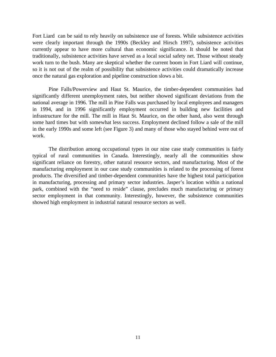Fort Liard can be said to rely heavily on subsistence use of forests. While subsistence activities were clearly important through the 1990s (Beckley and Hirsch 1997), subsistence activities currently appear to have more cultural than economic significance. It should be noted that traditionally, subsistence activities have served as a local social safety net. Those without steady work turn to the bush. Many are skeptical whether the current boom in Fort Liard will continue, so it is not out of the realm of possibility that subsistence activities could dramatically increase once the natural gas exploration and pipeline construction slows a bit.

Pine Falls/Powerview and Haut St. Maurice, the timber-dependent communities had significantly different unemployment rates, but neither showed significant deviations from the national average in 1996. The mill in Pine Falls was purchased by local employees and managers in 1994, and in 1996 significantly employment occurred in building new facilities and infrastructure for the mill. The mill in Haut St. Maurice, on the other hand, also went through some hard times but with somewhat less success. Employment declined follow a sale of the mill in the early 1990s and some left (see Figure 3) and many of those who stayed behind were out of work.

The distribution among occupational types in our nine case study communities is fairly typical of rural communities in Canada. Interestingly, nearly all the communities show significant reliance on forestry, other natural resource sectors, and manufacturing. Most of the manufacturing employment in our case study communities is related to the processing of forest products. The diversified and timber-dependent communities have the highest total participation in manufacturing, processing and primary sector industries. Jasper's location within a national park, combined with the "need to reside" clause, precludes much manufacturing or primary sector employment in that community. Interestingly, however, the subsistence communities showed high employment in industrial natural resource sectors as well.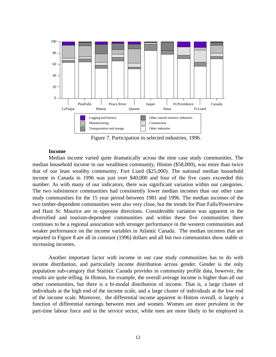

Figure 7. Participation in selected industries, 1996.

#### **Income**

Median income varied quite dramatically across the nine case study communities. The median household income in our wealthiest community, Hinton (\$58,000), was more than twice that of our least wealthy community, Fort Liard (\$25,000). The national median household income in Canada in 1996 was just over \$40,000 and four of the five cases exceeded this number. As with many of our indicators, there was significant variation within our categories. The two subsistence communities had consistently lower median incomes than our other case study communities for the 15 year period between 1981 and 1996. The median incomes of the two timber-dependent communities were also very close, but the trends for Pine Falls/Powerview and Haut St. Maurice are in opposite directions. Considerable variation was apparent in the diversified and tourism-dependent communities and within these five communities there continues to be a regional association with stronger performance in the western communities and weaker performance on the income variables in Atlantic Canada. The median incomes that are reported in Figure 8 are all in constant (1996) dollars and all but two communities show stable or increasing incomes.

Another important factor with income in our case study communities has to do with income distribution, and particularly income distribution across gender. Gender is the only population sub-category that Statistic Canada provides in community profile data, however, the results are quite telling. In Hinton, for example, the overall average income is higher than all our other communities, but there is a bi-modal distribution of income. That is, a large cluster of individuals at the high end of the income scale, and a large cluster of individuals at the low end of the income scale. Moreover, the differential income apparent in Hinton overall, is largely a function of differential earnings between men and women. Women are more prevalent in the part-time labour force and in the service sector, while men are more likely to be employed in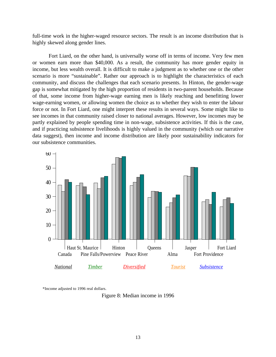full-time work in the higher-waged resource sectors. The result is an income distribution that is highly skewed along gender lines.

Fort Liard, on the other hand, is universally worse off in terms of income. Very few men or women earn more than \$40,000. As a result, the community has more gender equity in income, but less wealth overall. It is difficult to make a judgment as to whether one or the other scenario is more "sustainable". Rather our approach is to highlight the characteristics of each community, and discuss the challenges that each scenario presents. In Hinton, the gender-wage gap is somewhat mitigated by the high proportion of residents in two-parent households. Because of that, some income from higher-wage earning men is likely reaching and benefitting lower wage-earning women, or allowing women the choice as to whether they wish to enter the labour force or not. In Fort Liard, one might interpret these results in several ways. Some might like to see incomes in that community raised closer to national averages. However, low incomes may be partly explained by people spending time in non-wage, subsistence activities. If this is the case, and if practicing subsistence livelihoods is highly valued in the community (which our narrative data suggest), then income and income distribution are likely poor sustainability indicators for our subsistence communities.



\*Income adjusted to 1996 real dollars.

Figure 8: Median income in 1996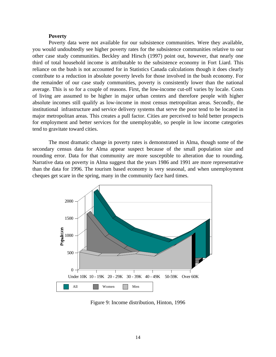#### **Poverty**

Poverty data were not available for our subsistence communities. Were they available, you would undoubtedly see higher poverty rates for the subsistence communities relative to our other case study communities. Beckley and Hirsch (1997) point out, however, that nearly one third of total household income is attributable to the subsistence economy in Fort Liard. This reliance on the bush is not accounted for in Statistics Canada calculations though it does clearly contribute to a reduction in absolute poverty levels for those involved in the bush economy. For the remainder of our case study communities, poverty is consistently lower than the national average. This is so for a couple of reasons. First, the low-income cut-off varies by locale. Costs of living are assumed to be higher in major urban centers and therefore people with higher absolute incomes still qualify as low-income in most census metropolitan areas. Secondly, the institutional infrastructure and service delivery systems that serve the poor tend to be located in major metropolitan areas. This creates a pull factor. Cities are perceived to hold better prospects for employment and better services for the unemployable, so people in low income categories tend to gravitate toward cities.

The most dramatic change in poverty rates is demonstrated in Alma, though some of the secondary census data for Alma appear suspect because of the small population size and rounding error. Data for that community are more susceptible to alteration due to rounding. Narrative data on poverty in Alma suggest that the years 1986 and 1991 are more representative than the data for 1996. The tourism based economy is very seasonal, and when unemployment cheques get scare in the spring, many in the community face hard times.



Figure 9: Income distribution, Hinton, 1996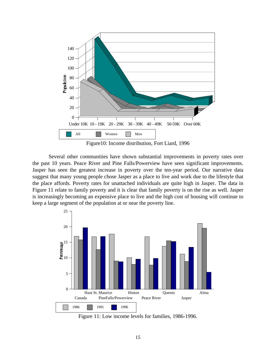

Figure10: Income distribution, Fort Liard, 1996

Several other communities have shown substantial improvements in poverty rates over the past 10 years. Peace River and Pine Falls/Powerview have seen significant improvements. Jasper has seen the greatest increase in poverty over the ten-year period. Our narrative data suggest that many young people chose Jasper as a place to live and work due to the lifestyle that the place affords. Poverty rates for unattached individuals are quite high in Jasper. The data in Figure 11 relate to family poverty and it is clear that family poverty is on the rise as well. Jasper is increasingly becoming an expensive place to live and the high cost of housing will continue to keep a large segment of the population at or near the poverty line.



Figure 11: Low income levels for families, 1986-1996.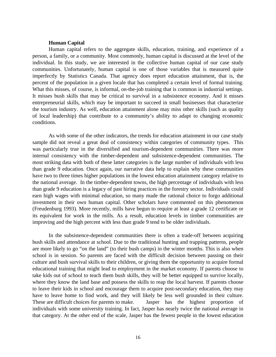#### **Human Capital**

Human capital refers to the aggregate skills, education, training, and experience of a person, a family, or a community. Most commonly, human capital is discussed at the level of the individual. In this study, we are interested in the collective human capital of our case study communities. Unfortunately, human capital is one of those variables that is measured quite imperfectly by Statistics Canada. That agency does report education attainment, that is, the percent of the population in a given locale that has completed a certain level of formal training. What this misses, of course, is informal, on-the-job training that is common in industrial settings. It misses bush skills that may be critical to survival in a subsistence economy. And it misses entrepreneurial skills, which may be important to succeed in small businesses that characterize the tourism industry. As well, education attainment alone may miss other skills (such as quality of local leadership) that contribute to a community's ability to adapt to changing economic conditions.

As with some of the other indicators, the trends for education attainment in our case study sample did not reveal a great deal of consistency within categories of community types. This was particularly true in the diversified and tourism-dependent communities. There was more internal consistency with the timber-dependent and subsistence-dependent communities. The most striking data with both of these latter categories is the large number of individuals with less than grade 9 education. Once again, our narrative data help to explain why these communities have two to three times higher populations in the lowest education attainment category relative to the national average. In the timber-dependent towns, the high percentage of individuals with less than grade 9 education is a legacy of past hiring practices in the forestry sector. Individuals could earn high wages with minimal education, so many made the rational choice to forgo additional investment in their own human capital. Other scholars have commented on this phenomenon (Freudenburg 1993). More recently, mills have begun to require at least a grade 12 certificate or its equivalent for work in the mills. As a result, education levels in timber communities are improving and the high percent with less than grade 9 tend to be older individuals.

In the subsistence-dependent communities there is often a trade-off between acquiring bush skills and attendance at school. Due to the traditional hunting and trapping patterns, people are more likely to go "on the land" (to their bush camps) in the winter months. This is also when school is in session. So parents are faced with the difficult decision between passing on their culture and bush survival skills to their children, or giving them the opportunity to acquire formal educational training that might lead to employment in the market economy. If parents choose to take kids out of school to teach them bush skills, they will be better equipped to survive locally, where they know the land base and possess the skills to reap the local harvest. If parents choose to leave their kids in school and encourage them to acquire post-secondary education, they may have to leave home to find work, and they will likely be less well grounded in their culture. These are difficult choices for parents to make. Jasper has the highest proportion of individuals with some university training. In fact, Jasper has nearly twice the national average in that category. At the other end of the scale, Jasper has the fewest people in the lowest education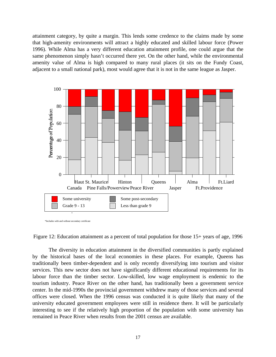attainment category, by quite a margin. This lends some credence to the claims made by some that high-amenity environments will attract a highly educated and skilled labour force (Power 1996). While Alma has a very different education attainment profile, one could argue that the same phenomenon simply hasn't occurred there yet. On the other hand, while the environmental amenity value of Alma is high compared to many rural places (it sits on the Fundy Coast, adjacent to a small national park), most would agree that it is not in the same league as Jasper.



\*Includes with and without secondary certificate

Figure 12: Education attainment as a percent of total population for those 15+ years of age, 1996

The diversity in education attainment in the diversified communities is partly explained by the historical bases of the local economies in these places. For example, Queens has traditionally been timber-dependent and is only recently diversifying into tourism and visitor services. This new sector does not have significantly different educational requirements for its labour force than the timber sector. Low-skilled, low wage employment is endemic to the tourism industry. Peace River on the other hand, has traditionally been a government service center. In the mid-1990s the provincial government withdrew many of those services and several offices were closed. When the 1996 census was conducted it is quite likely that many of the university educated government employees were still in residence there. It will be particularly interesting to see if the relatively high proportion of the population with some university has remained in Peace River when results from the 2001 census are available.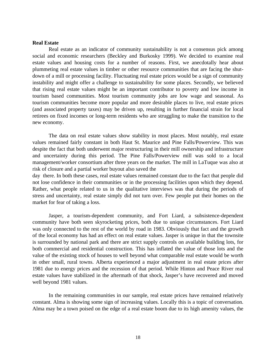#### **Real Estate**

Real estate as an indicator of community sustainability is not a consensus pick among social and economic researchers (Beckley and Burkosky 1999). We decided to examine real estate values and housing costs for a number of reasons. First, we anecdotally hear about plummeting real estate values in timber or other resource communities that are facing the shutdown of a mill or processing facility. Fluctuating real estate prices would be a sign of community instability and might offer a challenge to sustainability for some places. Secondly, we believed that rising real estate values might be an important contributor to poverty and low income in tourism based communities. Most tourism community jobs are low wage and seasonal. As tourism communities become more popular and more desirable places to live, real estate prices (and associated property taxes) may be driven up, resulting in further financial strain for local retirees on fixed incomes or long-term residents who are struggling to make the transition to the new economy.

The data on real estate values show stability in most places. Most notably, real estate values remained fairly constant in both Haut St. Maurice and Pine Falls/Powerview. This was despite the fact that both underwent major restructuring in their mill ownership and infrastructure and uncertainty during this period. The Pine Falls/Powerview mill was sold to a local management/worker consortium after three years on the market. The mill in LaTuque was also at risk of closure and a partial worker buyout also saved the

day there. In both these cases, real estate values remained constant due to the fact that people did not lose confidence in their communities or in the processing facilities upon which they depend. Rather, what people related to us in the qualitative interviews was that during the periods of stress and uncertainty, real estate simply did not turn over. Few people put their homes on the market for fear of taking a loss.

Jasper, a tourism-dependent community, and Fort Liard, a subsistence-dependent community have both seen skyrocketing prices, both due to unique circumstances. Fort Liard was only connected to the rest of the world by road in 1983. Obviously that fact and the growth of the local economy has had an effect on real estate values. Jasper is unique in that the townsite is surrounded by national park and there are strict supply controls on available building lots, for both commercial and residential construction. This has inflated the value of those lots and the value of the existing stock of houses to well beyond what comparable real estate would be worth in other small, rural towns. Alberta experienced a major adjustment in real estate prices after 1981 due to energy prices and the recession of that period. While Hinton and Peace River real estate values have stabilized in the aftermath of that shock, Jasper's have recovered and moved well beyond 1981 values.

In the remaining communities in our sample, real estate prices have remained relatively constant. Alma is showing some sign of increasing values. Locally this is a topic of conversation. Alma may be a town poised on the edge of a real estate boom due to its high amenity values, the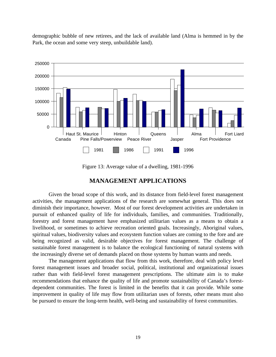

demographic bubble of new retirees, and the lack of available land (Alma is hemmed in by the Park, the ocean and some very steep, unbuildable land).

Figure 13: Average value of a dwelling, 1981-1996

# **MANAGEMENT APPLICATIONS**

Given the broad scope of this work, and its distance from field-level forest management activities, the management applications of the research are somewhat general. This does not diminish their importance, however. Most of our forest development activities are undertaken in pursuit of enhanced quality of life for individuals, families, and communities. Traditionally, forestry and forest management have emphasized utilitarian values as a means to obtain a livelihood, or sometimes to achieve recreation oriented goals. Increasingly, Aboriginal values, spiritual values, biodiversity values and ecosystem function values are coming to the fore and are being recognized as valid, desirable objectives for forest management. The challenge of sustainable forest management is to balance the ecological functioning of natural systems with the increasingly diverse set of demands placed on those systems by human wants and needs.

The management applications that flow from this work, therefore, deal with policy level forest management issues and broader social, political, institutional and organizational issues rather than with field-level forest management prescriptions. The ultimate aim is to make recommendations that enhance the quality of life and promote sustainability of Canada's forestdependent communities. The forest is limited in the benefits that it can provide. While some improvement in quality of life may flow from utilitarian uses of forests, other means must also be pursued to ensure the long-term health, well-being and sustainability of forest communities.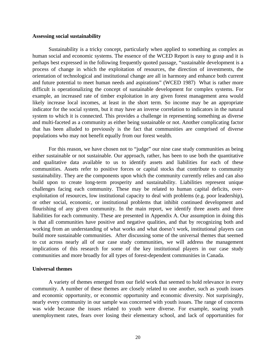#### **Assessing social sustainability**

Sustainability is a tricky concept, particularly when applied to something as complex as human social and economic systems. The essence of the WCED Report is easy to grasp and it is perhaps best expressed in the following frequently quoted passage, "sustainable development is a process of change in which the exploitation of resources, the direction of investments, the orientation of technological and institutional change are all in harmony and enhance both current and future potential to meet human needs and aspirations" (WCED 1987) What is rather more difficult is operationalizing the concept of sustainable development for complex systems. For example, an increased rate of timber exploitation in any given forest management area would likely increase local incomes, at least in the short term. So income may be an appropriate indicator for the social system, but it may have an inverse correlation to indicators in the natural system to which it is connected. This provides a challenge in representing something as diverse and multi-faceted as a community as either being sustainable or not. Another complicating factor that has been alluded to previously is the fact that communities are comprised of diverse populations who may not benefit equally from our forest wealth.

For this reason, we have chosen not to "judge" our nine case study communities as being either sustainable or not sustainable. Our approach, rather, has been to use both the quantitative and qualitative data available to us to identify assets and liabilities for each of these communities. Assets refer to positive forces or capital stocks that contribute to community sustainability. They are the components upon which the community currently relies and can also build upon to create long-term prosperity and sustainability. Liabilities represent unique challenges facing each community. These may be related to human capital deficits, overexploitation of resources, low institutional capacity to deal with problems (e.g. poor leadership), or other social, economic, or institutional problems that inhibit continued development and flourishing of any given community. In the main report, we identify three assets and three liabilities for each community. These are presented in Appendix A. Our assumption in doing this is that all communities have positive and negative qualities, and that by recognizing both and working from an understanding of what works and what doesn't work, institutional players can build more sustainable communities. After discussing some of the universal themes that seemed to cut across nearly all of our case study communities, we will address the management implications of this research for some of the key institutional players in our case study communities and more broadly for all types of forest-dependent communities in Canada.

#### **Universal themes**

A variety of themes emerged from our field work that seemed to hold relevance in every community. A number of these themes are closely related to one another, such as youth issues and economic opportunity, or economic opportunity and economic diversity. Not surprisingly, nearly every community in our sample was concerned with youth issues. The range of concerns was wide because the issues related to youth were diverse. For example, soaring youth unemployment rates, fears over losing their elementary school, and lack of opportunities for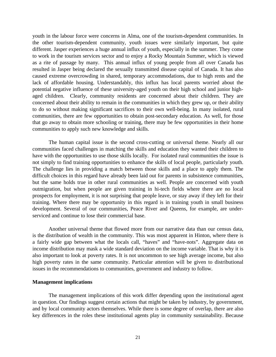youth in the labour force were concerns in Alma, one of the tourism-dependent communities. In the other tourism-dependent community, youth issues were similarly important, but quite different. Jasper experiences a huge annual influx of youth, especially in the summer. They come to work in the tourism services sector and to enjoy a Rocky Mountain Summer, which is viewed as a rite of passage by many. This annual influx of young people from all over Canada has resulted in Jasper being declared the sexually transmitted disease capital of Canada. It has also caused extreme overcrowding in shared, temporary accommodations, due to high rents and the lack of affordable housing. Understandably, this influx has local parents worried about the potential negative influence of these university-aged youth on their high school and junior highaged children. Clearly, community residents are concerned about their children. They are concerned about their ability to remain in the communities in which they grew up, or their ability to do so without making significant sacrifices to their own well-being. In many isolated, rural communities, there are few opportunities to obtain post-secondary education. As well, for those that go away to obtain more schooling or training, there may be few opportunities in their home communities to apply such new knowledge and skills.

The human capital issue is the second cross-cutting or universal theme. Nearly all our communities faced challenges in matching the skills and education they wanted their children to have with the opportunities to use those skills locally. For isolated rural communities the issue is not simply to find training opportunities to enhance the skills of local people, particularly youth. The challenge lies in providing a match between those skills and a place to apply them. The difficult choices in this regard have already been laid out for parents in subsistence communities, but the same holds true in other rural communities as well. People are concerned with youth outmigration, but when people are given training in hi-tech fields where there are no local prospects for employment, it is not surprising that people leave, or stay away if they left for their training. Where there may be opportunity in this regard is in training youth in small business development. Several of our communities, Peace River and Queens, for example, are underserviced and continue to lose their commercial base.

Another universal theme that flowed more from our narrative data than our census data, is the distribution of wealth in the community. This was most apparent in Hinton, where there is a fairly wide gap between what the locals call, "haves" and "have-nots". Aggregate data on income distribution may mask a wide standard deviation on the income variable. That is why it is also important to look at poverty rates. It is not uncommon to see high average income, but also high poverty rates in the same community. Particular attention will be given to distributional issues in the recommendations to communities, government and industry to follow.

#### **Management implications**

The management implications of this work differ depending upon the institutional agent in question. Our findings suggest certain actions that might be taken by industry, by government, and by local community actors themselves. While there is some degree of overlap, there are also key differences in the roles these institutional agents play in community sustainability. Because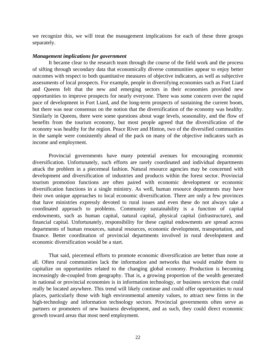we recognize this, we will treat the management implications for each of these three groups separately.

#### *Management implications for government*

It became clear to the research team through the course of the field work and the process of sifting through secondary data that economically diverse communities appear to enjoy better outcomes with respect to both quantitative measures of objective indicators, as well as subjective assessments of local prospects. For example, people in diversifying economies such as Fort Liard and Queens felt that the new and emerging sectors in their economies provided new opportunities to improve prospects for nearly everyone. There was some concern over the rapid pace of development in Fort Liard, and the long-term prospects of sustaining the current boom, but there was near consensus on the notion that the diversification of the economy was healthy. Similarly in Queens, there were some questions about wage levels, seasonality, and the flow of benefits from the tourism economy, but most people agreed that the diversification of the economy was healthy for the region. Peace River and Hinton, two of the diversified communities in the sample were consistently ahead of the pack on many of the objective indicators such as income and employment.

Provincial governments have many potential avenues for encouraging economic diversification. Unfortunately, such efforts are rarely coordinated and individual departments attack the problem in a piecemeal fashion. Natural resource agencies may be concerned with development and diversification of industries and products within the forest sector. Provincial tourism promotion functions are often paired with economic development or economic diversification functions in a single ministry. As well, human resource departments may have their own unique approaches to local economic diversification. There are only a few provinces that have ministries expressly devoted to rural issues and even these do not always take a coordinated approach to problems. Community sustainability is a function of capital endowments, such as human capital, natural capital, physical capital (infrastructure), and financial capital. Unfortunately, responsibility for these capital endowments are spread across departments of human resources, natural resources, economic development, transportation, and finance. Better coordination of provincial departments involved in rural development and economic diversification would be a start.

That said, piecemeal efforts to promote economic diversification are better than none at all. Often rural communities lack the information and networks that would enable them to capitalize on opportunities related to the changing global economy. Production is becoming increasingly de-coupled from geography. That is, a growing proportion of the wealth generated in national or provincial economies is in information technology, or business services that could really be located anywhere. This trend will likely continue and could offer opportunities to rural places, particularly those with high environmental amenity values, to attract new firms in the high-technology and information technology sectors. Provincial governments often serve as partners or promoters of new business development, and as such, they could direct economic growth toward areas that most need employment.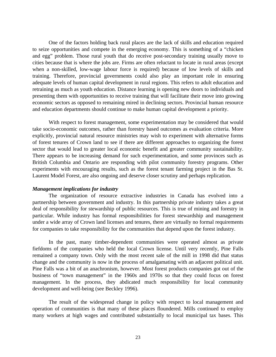One of the factors holding back rural places are the lack of skills and education required to seize opportunities and compete in the emerging economy. This is something of a "chicken and egg" problem. Those rural youth that do receive post-secondary training usually move to cities because that is where the jobs are. Firms are often reluctant to locate in rural areas (except when a non-skilled, low-wage labour force is required) because of low levels of skills and training. Therefore, provincial governments could also play an important role in ensuring adequate levels of human capital development in rural regions. This refers to adult education and retraining as much as youth education. Distance learning is opening new doors to individuals and presenting them with opportunities to receive training that will facilitate their move into growing economic sectors as opposed to remaining mired in declining sectors. Provincial human resource and education departments should continue to make human capital development a priority.

With respect to forest management, some experimentation may be considered that would take socio-economic outcomes, rather than forestry based outcomes as evaluation criteria. More explicitly, provincial natural resource ministries may wish to experiment with alternative forms of forest tenures of Crown land to see if there are different approaches to organizing the forest sector that would lead to greater local economic benefit and greater community sustainability. There appears to be increasing demand for such experimentation, and some provinces such as British Columbia and Ontario are responding with pilot community forestry programs. Other experiments with encouraging results, such as the forest tenant farming project in the Bas St. Laurent Model Forest, are also ongoing and deserve closer scrutiny and perhaps replication.

#### *Management implications for industry*

The organization of resource extractive industries in Canada has evolved into a partnership between government and industry. In this partnership private industry takes a great deal of responsibility for stewardship of public resources. This is true of mining and forestry in particular. While industry has formal responsibilities for forest stewardship and management under a wide array of Crown land licenses and tenures, there are virtually no formal requirements for companies to take responsibility for the communities that depend upon the forest industry.

In the past, many timber-dependent communities were operated almost as private fiefdoms of the companies who held the local Crown license. Until very recently, Pine Falls remained a company town. Only with the most recent sale of the mill in 1998 did that status change and the community is now in the process of amalgamating with an adjacent political unit. Pine Falls was a bit of an anachronism, however. Most forest products companies got out of the business of "town management" in the 1960s and 1970s so that they could focus on forest management. In the process, they abdicated much responsibility for local community development and well-being (see Beckley 1996).

The result of the widespread change in policy with respect to local management and operation of communities is that many of these places floundered. Mills continued to employ many workers at high wages and contributed substantially to local municipal tax bases. This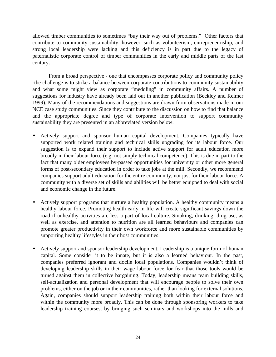allowed timber communities to sometimes "buy their way out of problems." Other factors that contribute to community sustainability, however, such as volunteerism, entrepreneuriship, and strong local leadership were lacking and this deficiency is in part due to the legacy of paternalistic corporate control of timber communities in the early and middle parts of the last century.

From a broad perspective - one that encompasses corporate policy and community policy -the challenge is to strike a balance between corporate contributions to community sustainability and what some might view as corporate "meddling" in community affairs. A number of suggestions for industry have already been laid out in another publication (Beckley and Reimer 1999). Many of the recommendations and suggestions are drawn from observations made in our NCE case study communities. Since they contribute to the discussion on how to find that balance and the appropriate degree and type of corporate intervention to support community sustainability they are presented in an abbreviated version below.

- Actively support and sponsor human capital development. Companies typically have supported work related training and technical skills upgrading for its labour force. Our suggestion is to expand their support to include active support for adult education more broadly in their labour force (e.g. not simply technical competence). This is due in part to the fact that many older employees by-passed opportunities for university or other more general forms of post-secondary education in order to take jobs at the mill. Secondly, we recommend companies support adult education for the entire community, not just for their labour force. A community with a diverse set of skills and abilities will be better equipped to deal with social and economic change in the future.
- Actively support programs that nurture a healthy population. A healthy community means a healthy labour force. Promoting health early in life will create significant savings down the road if unhealthy activities are less a part of local culture. Smoking, drinking, drug use, as well as exercise, and attention to nutrition are all learned behaviours and companies can promote greater productivity in their own workforce and more sustainable communities by supporting healthy lifestyles in their host communities.
- Actively support and sponsor leadership development. Leadership is a unique form of human capital. Some consider it to be innate, but it is also a learned behaviour. In the past, companies preferred ignorant and docile local populations. Companies wouldn't think of developing leadership skills in their wage labour force for fear that those tools would be turned against them in collective bargaining. Today, leadership means team building skills, self-actualization and personal development that will encourage people to solve their own problems, either on the job or in their communities, rather than looking for external solutions. Again, companies should support leadership training both within their labour force and within the community more broadly. This can be done through sponsoring workers to take leadership training courses, by bringing such seminars and workshops into the mills and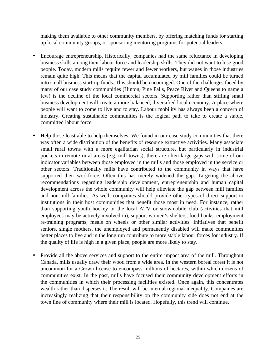making them available to other community members, by offering matching funds for starting up local community groups, or sponsoring mentoring programs for potential leaders.

- Encourage entrepreneurship. Historically, companies had the same reluctance in developing business skills among their labour force and leadership skills. They did not want to lose good people. Today, modern mills require fewer and fewer workers, but wages in those industries remain quite high. This means that the capital accumulated by mill families could be turned into small business start-up funds. This should be encouraged. One of the challenges faced by many of our case study communities (Hinton, Pine Falls, Peace River and Queens to name a few) is the decline of the local commercial sectors. Supporting rather than stifling small business development will create a more balanced, diversified local economy. A place where people will want to come to live and to stay. Labour mobility has always been a concern of industry. Creating sustainable communities is the logical path to take to create a stable, committed labour force.
- Help those least able to help themselves. We found in our case study communities that there was often a wide distribution of the benefits of resource extractive activities. Many associate small rural towns with a more egalitarian social structure, but particularly in industrial pockets in remote rural areas (e.g. mill towns), there are often large gaps with some of our indicator variables between those employed in the mills and those employed in the service or other sectors. Traditionally mills have contributed to the community in ways that have supported their workforce. Often this has merely widened the gap. Targeting the above recommendations regarding leadership development, entrepreneurship and human capital development across the whole community will help alleviate the gap between mill families and non-mill families. As well, companies should provide other types of direct support to institutions in their host communities that benefit those most in need. For instance, rather than supporting youth hockey or the local ATV or snowmobile club (activities that mill employees may be actively involved in), support women's shelters, food banks, employment re-training programs, meals on wheels or other similar activities. Initiatives that benefit seniors, single mothers, the unemployed and permanently disabled will make communities better places to live and in the long run contribute to more stable labour forces for industry. If the quality of life is high in a given place, people are more likely to stay.
- Provide all the above services and support to the entire impact area of the mill. Throughout Canada, mills usually draw their wood from a wide area. In the western boreal forest it is not uncommon for a Crown license to encompass millions of hectares, within which dozens of communities exist. In the past, mills have focused their community development efforts in the communities in which their processing facilities existed. Once again, this concentrates wealth rather than disperses it. The result will be internal regional inequality. Companies are increasingly realizing that their responsibility on the community side does not end at the town line of community where their mill is located. Hopefully, this trend will continue.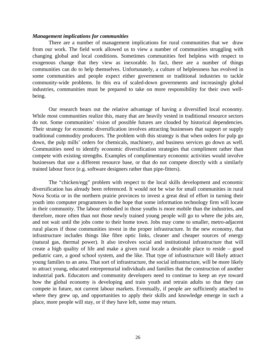#### *Management implications for communities*

There are a number of management implications for rural communities that we draw from our work. The field work allowed us to view a number of communities struggling with changing global and local conditions. Sometimes communities feel helpless with respect to exogenous change that they view as inexorable. In fact, there are a number of things communities can do to help themselves. Unfortunately, a culture of helplessness has evolved in some communities and people expect either government or traditional industries to tackle community-wide problems. In this era of scaled-down governments and increasingly global industries, communities must be prepared to take on more responsibility for their own wellbeing.

Our research bears out the relative advantage of having a diversified local economy. While most communities realize this, many that are heavily vested in traditional resource sectors do not. Some communities' vision of possible futures are clouded by historical dependencies. Their strategy for economic diversification involves attracting businesses that support or supply traditional commodity producers. The problem with this strategy is that when orders for pulp go down, the pulp mills' orders for chemicals, machinery, and business services go down as well. Communities need to identify economic diversification strategies that compliment rather than compete with existing strengths. Examples of complimentary economic activities would involve businesses that use a different resource base, or that do not compete directly with a similarly trained labour force (e.g. software designers rather than pipe-fitters).

The "chicken/egg" problem with respect to the local skills development and economic diversification has already been referenced. It would not be wise for small communities in rural Nova Scotia or in the northern prairie provinces to invest a great deal of effort in turning their youth into computer programmers in the hope that some information technology firm will locate in their community. The labour embodied in those youths is more mobile than the industries, and therefore, more often than not those newly trained young people will go to where the jobs are, and not wait until the jobs come to their home town. Jobs may come to smaller, metro-adjacent rural places if those communities invest in the proper infrastructure. In the new economy, that infrastructure includes things like fibre optic links, cleaner and cheaper sources of energy (natural gas, thermal power). It also involves social and institutional infrastructure that will create a high quality of life and make a given rural locale a desirable place to reside – good pediatric care, a good school system, and the like. That type of infrastructure will likely attract young families to an area. That sort of infrastructure, the social infrastructure, will be more likely to attract young, educated entreprenurial individuals and families that the construction of another industrial park. Educators and community developers need to continue to keep an eye toward how the global economy is developing and train youth and retrain adults so that they can compete in future, not current labour markets. Eventually, if people are sufficiently attached to where they grew up, and opportunities to apply their skills and knowledge emerge in such a place, more people will stay, or if they have left, some may return.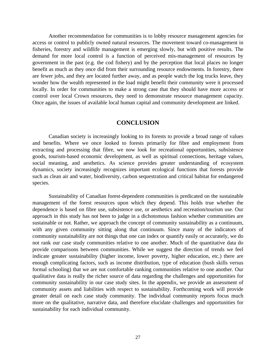Another recommendation for communities is to lobby resource management agencies for access or control to publicly owned natural resources. The movement toward co-management in fisheries, forestry and wildlife management is emerging slowly, but with positive results. The demand for more local control is a function of perceived mis-management of resources by government in the past (e.g. the cod fishery) and by the perception that local places no longer benefit as much as they once did from their surrounding resource endowments. In forestry, there are fewer jobs, and they are located further away, and as people watch the log trucks leave, they wonder how the wealth represented in the load might benefit their community were it processed locally. In order for communities to make a strong case that they should have more access or control over local Crown resources, they need to demonstrate resource management capacity. Once again, the issues of available local human capital and community development are linked.

### **CONCLUSION**

Canadian society is increasingly looking to its forests to provide a broad range of values and benefits. Where we once looked to forests primarily for fibre and employment from extracting and processing that fibre, we now look for recreational opportunities, subsistence goods, tourism-based economic development, as well as spiritual connections, heritage values, social meaning, and aesthetics. As science provides greater understanding of ecosystem dynamics, society increasingly recognizes important ecological functions that forests provide such as clean air and water, biodiversity, carbon sequestration and critical habitat for endangered species.

Sustainability of Canadian forest-dependent communities is predicated on the sustainable management of the forest resources upon which they depend. This holds true whether the dependence is based on fibre use, subsistence use, or aesthetics and recreation/tourism use. Our approach in this study has not been to judge in a dichotomous fashion whether communities are sustainable or not. Rather, we approach the concept of community sustainability as a continuum, with any given community sitting along that continuum. Since many of the indicators of community sustainability are not things that one can index or quantify easily or accurately, we do not rank our case study communities relative to one another. Much of the quantitative data do provide comparisons between communities. While we suggest the direction of trends we feel indicate greater sustainability (higher income, lower poverty, higher education, etc.) there are enough complicating factors, such as income distribution, type of education (bush skills versus formal schooling) that we are not comfortable ranking communities relative to one another. Our qualitative data is really the richer source of data regarding the challenges and opportunities for community sustainability in our case study sites. In the appendix, we provide an assessment of community assets and liabilities with respect to sustainability. Forthcoming work will provide greater detail on each case study community. The individual community reports focus much more on the qualitative, narrative data, and therefore elucidate challenges and opportunities for sustainability for each individual community.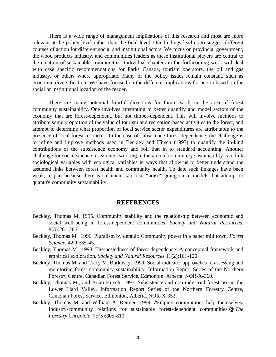There is a wide range of management implications of this research and most are more relevant at the policy level rather than the field level. Our findings lead us to suggest different courses of action for different social and institutional actors. We focus on provincial government, the wood products industry, and communities leaders as these institutional players are central to the creation of sustainable communities. Individual chapters in the forthcoming work will deal with case specific recommendations for Parks Canada, tourism operators, the oil and gas industry, or others where appropriate. Many of the policy issues remain constant, such as economic diversification. We have focused on the different implications for action based on the social or institutional location of the reader.

There are many potential fruitful directions for future work in the area of forest community sustainability. One involves attempting to better quantify and model sectors of the economy that are forest-dependent, but not timber-dependent. This will involve methods to attribute some proportion of the value of tourism and recreation-based activities to the forest, and attempt to determine what proportion of local service sector expenditures are attributable to the presence of local forest resources. In the case of subsistence forest-dependence, the challenge is to refine and improve methods used in Beckley and Hirsch (1997) to quantify the in-kind contributions of the subsistence economy and roll that in to standard accounting. Another challenge for social science researchers working in the area of community sustainability is to link sociological variables with ecological variables in ways that allow us to better understand the assumed links between forest health and community health. To date such linkages have been weak, in part because there is so much statistical "noise" going on in models that attempt to quantify community sustainability.

#### **REFERENCES**

- Beckley, Thomas M. 1995. Community stability and the relationship between economic and social well-being in forest-dependent communities. *Society and Natural Resources*. 8(3):261-266.
- Beckley, Thomas M. 1996. Pluralism by default: Community power in a paper mill town. *Forest Science.* 42(1):35-45.
- Beckley, Thomas M.. 1998. The nestedness of forest-dependence: A conceptual framework and empirical exploration. *Society and Natural Resources* 11(2):101-120.
- Beckley, Thomas M. and Tracy M. Burkosky. 1999. Social indicator approaches to assessing and monitoring forest community sustainability. Information Report Series of the Northern Forestry Centre, Canadian Forest Service, Edmonton, Alberta. NOR-X-360.
- Beckley, Thomas M., and Brian Hirsch. 1997. Subsistence and non-industrial forest use in the Lower Liard Valley. Information Report Series of the Northern Forestry Centre, Canadian Forest Service, Edmonton, Alberta. NOR-X-352.
- Beckley, Thomas M. and William A. Reimer. 1999. AHelping communities help themselves: Industry-community relations for sustainable forest-dependent communities,@ *The Forestry Chronicle*. 75(5):805-810.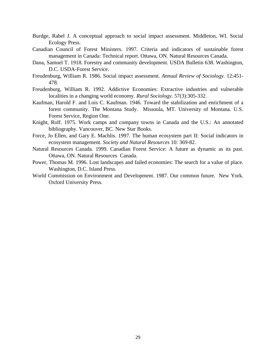- Burdge, Rabel J. A conceptual approach to social impact assessment. Middleton, WI. Social Ecology Press.
- Canadian Council of Forest Ministers. 1997. Criteria and indicators of sustainable forest management in Canada: Technical report. Ottawa, ON. Natural Resources Canada.
- Dana, Samuel T. 1918. Forestry and community development. USDA Bulletin 638. Washington, D.C. USDA-Forest Service.
- Freudenburg, William R. 1986. Social impact assessment. *Annual Review of Sociology.* 12:451- 478.
- Freudenburg, William R. 1992. Addictive Economies: Extractive industries and vulnerable localities in a changing world economy. *Rural Sociology*. 57(3):305-332.
- Kaufman, Harold F. and Lois C. Kaufman. 1946. Toward the stabilization and enrichment of a forest community. The Montana Study. Missoula, MT. University of Montana. U.S. Forest Service, Region One.
- Knight, Rolf. 1975. Work camps and company towns in Canada and the U.S.: An annotated bibliography. Vancouver, BC. New Star Books.
- Force, Jo Ellen, and Gary E. Machlis. 1997. The human ecosystem part II: Social indicators in ecosystem management. *Society and Natural Resources* 10: 369-82.
- Natural Resources Canada. 1999. Canadian Forest Service: A future as dynamic as its past. Ottawa, ON. Natural Resources Canada.
- Power, Thomas M. 1996. Lost landscapes and failed economies: The search for a value of place. Washington, D.C. Island Press.
- World Commission on Environment and Development. 1987. Our common future. New York. Oxford University Press.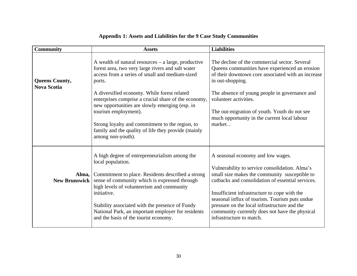| <b>Community</b>                            | <b>Assets</b>                                                                                                                                                                                                                                                                                                                                                                                                                                                                          | <b>Liabilities</b>                                                                                                                                                                                                                                                                                                                                                                                                         |
|---------------------------------------------|----------------------------------------------------------------------------------------------------------------------------------------------------------------------------------------------------------------------------------------------------------------------------------------------------------------------------------------------------------------------------------------------------------------------------------------------------------------------------------------|----------------------------------------------------------------------------------------------------------------------------------------------------------------------------------------------------------------------------------------------------------------------------------------------------------------------------------------------------------------------------------------------------------------------------|
| <b>Queens County,</b><br><b>Nova Scotia</b> | A wealth of natural resources $-$ a large, productive<br>forest area, two very large rivers and salt water<br>access from a series of small and medium-sized<br>ports.<br>A diversified economy. While forest related<br>enterprises comprise a crucial share of the economy,<br>new opportunities are slowly emerging (esp. in<br>tourism employment).<br>Strong loyalty and commitment to the region, to<br>family and the quality of life they provide (mainly<br>among non-youth). | The decline of the commercial sector. Several<br>Queens communities have experienced an erosion<br>of their downtown core associated with an increase<br>in out-shopping.<br>The absence of young people in governance and<br>volunteer activities.<br>The out-migration of youth. Youth do not see<br>much opportunity in the current local labour<br>market                                                              |
| Alma,<br><b>New Brunswick</b>               | A high degree of entrepreneurialism among the<br>local population.<br>Commitment to place. Residents described a strong<br>sense of community which is expressed through<br>high levels of volunteerism and community<br>initiative.<br>Stability associated with the presence of Fundy<br>National Park, an important employer for residents<br>and the basis of the tourist economy.                                                                                                 | A seasonal economy and low wages.<br>Vulnerability to service consolidation. Alma's<br>small size makes the community susceptible to<br>cutbacks and consolidation of essential services.<br>Insufficient infrastructure to cope with the<br>seasonal influx of tourists. Tourism puts undue<br>pressure on the local infrastructure and the<br>community currently does not have the physical<br>infrastructure to match. |

# **Appendix 1: Assets and Liabilities for the 9 Case Study Communities**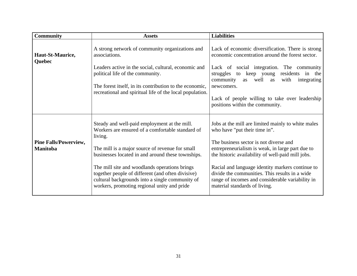| <b>Community</b>                                | <b>Assets</b>                                                                                                                                                                                                                                                                                                                                                                                                               | <b>Liabilities</b>                                                                                                                                                                                                                                                                                                                                                                                                                |
|-------------------------------------------------|-----------------------------------------------------------------------------------------------------------------------------------------------------------------------------------------------------------------------------------------------------------------------------------------------------------------------------------------------------------------------------------------------------------------------------|-----------------------------------------------------------------------------------------------------------------------------------------------------------------------------------------------------------------------------------------------------------------------------------------------------------------------------------------------------------------------------------------------------------------------------------|
| Haut-St-Maurice,<br>Quebec                      | A strong network of community organizations and<br>associations.<br>Leaders active in the social, cultural, economic and<br>political life of the community.<br>The forest itself, in its contribution to the economic,<br>recreational and spiritual life of the local population.                                                                                                                                         | Lack of economic diversification. There is strong<br>economic concentration around the forest sector.<br>Lack of social integration. The community<br>residents in the<br>struggles to keep young<br>well<br>with<br>community<br>as<br>integrating<br>as<br>newcomers.<br>Lack of people willing to take over leadership                                                                                                         |
|                                                 |                                                                                                                                                                                                                                                                                                                                                                                                                             | positions within the community.                                                                                                                                                                                                                                                                                                                                                                                                   |
| <b>Pine Falls/Powerview,</b><br><b>Manitoba</b> | Steady and well-paid employment at the mill.<br>Workers are ensured of a comfortable standard of<br>living.<br>The mill is a major source of revenue for small<br>businesses located in and around these townships.<br>The mill site and woodlands operations brings<br>together people of different (and often divisive)<br>cultural backgrounds into a single community of<br>workers, promoting regional unity and pride | Jobs at the mill are limited mainly to white males<br>who have "put their time in".<br>The business sector is not diverse and<br>entrepreneurialism is weak, in large part due to<br>the historic availability of well-paid mill jobs.<br>Racial and language identity markers continue to<br>divide the communities. This results in a wide<br>range of incomes and considerable variability in<br>material standards of living. |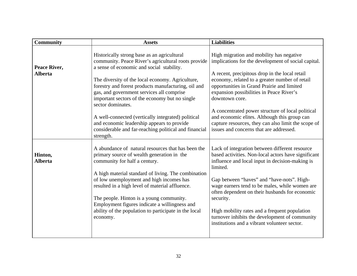| <b>Community</b>          | <b>Assets</b>                                                                                                                                                                                                               | <b>Liabilities</b>                                                                                                                                                                                           |
|---------------------------|-----------------------------------------------------------------------------------------------------------------------------------------------------------------------------------------------------------------------------|--------------------------------------------------------------------------------------------------------------------------------------------------------------------------------------------------------------|
| Peace River,              | Historically strong base as an agricultural<br>community. Peace River's agricultural roots provide<br>a sense of economic and social stability.                                                                             | High migration and mobility has negative<br>implications for the development of social capital.                                                                                                              |
| <b>Alberta</b>            | The diversity of the local economy. Agriculture,<br>forestry and forest products manufacturing, oil and<br>gas, and government services all comprise<br>important sectors of the economy but no single<br>sector dominates. | A recent, precipitous drop in the local retail<br>economy, related to a greater number of retail<br>opportunities in Grand Prairie and limited<br>expansion possibilities in Peace River's<br>downtown core. |
|                           | A well-connected (vertically integrated) political<br>and economic leadership appears to provide<br>considerable and far-reaching political and financial<br>strength.                                                      | A concentrated power structure of local political<br>and economic elites. Although this group can<br>capture resources, they can also limit the scope of<br>issues and concerns that are addressed.          |
| Hinton,<br><b>Alberta</b> | A abundance of natural resources that has been the<br>primary source of wealth generation in the<br>community for half a century.<br>A high material standard of living. The combination                                    | Lack of integration between different resource<br>based activities. Non-local actors have significant<br>influence and local input in decision-making is<br>limited.                                         |
|                           | of low unemployment and high incomes has<br>resulted in a high level of material affluence.<br>The people. Hinton is a young community.<br>Employment figures indicate a willingness and                                    | Gap between "haves" and "have-nots". High-<br>wage earners tend to be males, while women are<br>often dependent on their husbands for economic<br>security.                                                  |
|                           | ability of the population to participate in the local<br>economy.                                                                                                                                                           | High mobility rates and a frequent population<br>turnover inhibits the development of community<br>institutions and a vibrant volunteer sector.                                                              |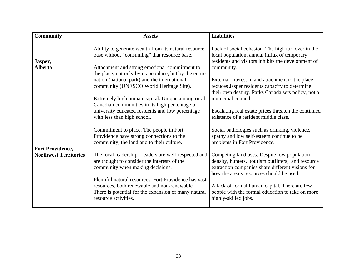| <b>Community</b>                                        | <b>Assets</b>                                                                                                                                                                                                                                                                 | <b>Liabilities</b>                                                                                                                                                                                                                                                                   |
|---------------------------------------------------------|-------------------------------------------------------------------------------------------------------------------------------------------------------------------------------------------------------------------------------------------------------------------------------|--------------------------------------------------------------------------------------------------------------------------------------------------------------------------------------------------------------------------------------------------------------------------------------|
| Jasper,<br><b>Alberta</b>                               | Ability to generate wealth from its natural resource<br>base without "consuming" that resource base.<br>Attachment and strong emotional commitment to                                                                                                                         | Lack of social cohesion. The high turnover in the<br>local population, annual influx of temporary<br>residents and visitors inhibits the development of<br>community.                                                                                                                |
|                                                         | the place, not only by its populace, but by the entire<br>nation (national park) and the international<br>community (UNESCO World Heritage Site).                                                                                                                             | External interest in and attachment to the place<br>reduces Jasper residents capacity to determine<br>their own destiny. Parks Canada sets policy, not a                                                                                                                             |
|                                                         | Extremely high human capital. Unique among rural<br>Canadian communities in its high percentage of<br>university educated residents and low percentage<br>with less than high school.                                                                                         | municipal council.<br>Escalating real estate prices threaten the continued<br>existence of a resident middle class.                                                                                                                                                                  |
| <b>Fort Providence,</b><br><b>Northwest Territories</b> | Commitment to place. The people in Fort<br>Providence have strong connections to the<br>community, the land and to their culture.<br>The local leadership. Leaders are well-respected and<br>are thought to consider the interests of the<br>community when making decisions. | Social pathologies such as drinking, violence,<br>apathy and low self-esteem continue to be<br>problems in Fort Providence.<br>Competing land uses. Despite low population<br>density, hunters, tourism outfitters, and resource<br>extraction companies share different visions for |
|                                                         | Plentiful natural resources. Fort Providence has vast<br>resources, both renewable and non-renewable.<br>There is potential for the expansion of many natural<br>resource activities.                                                                                         | how the area's resources should be used.<br>A lack of formal human capital. There are few<br>people with the formal education to take on more<br>highly-skilled jobs.                                                                                                                |